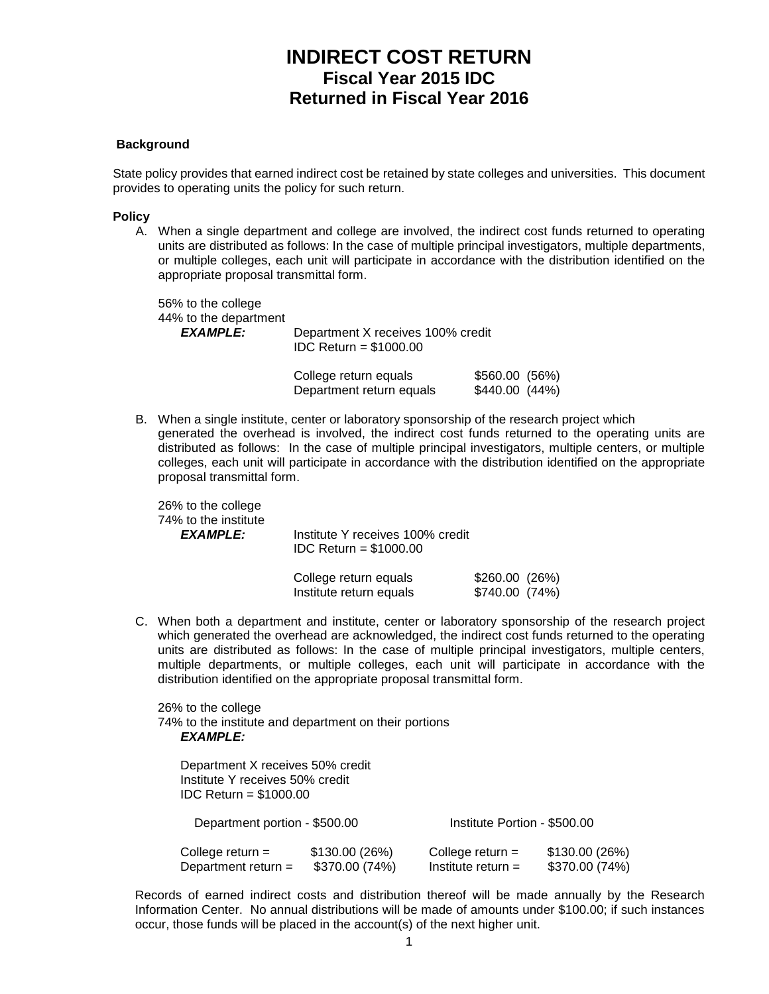# **INDIRECT COST RETURN Fiscal Year 2015 IDC Returned in Fiscal Year 2016**

### **Background**

State policy provides that earned indirect cost be retained by state colleges and universities. This document provides to operating units the policy for such return.

#### **Policy**

A. When a single department and college are involved, the indirect cost funds returned to operating units are distributed as follows: In the case of multiple principal investigators, multiple departments, or multiple colleges, each unit will participate in accordance with the distribution identified on the appropriate proposal transmittal form.

56% to the college 44% to the department<br>EXAMPLE: Department X receives 100% credit IDC Return = \$1000.00

| College return equals    | \$560.00 (56%) |
|--------------------------|----------------|
| Department return equals | \$440.00(44%)  |

B. When a single institute, center or laboratory sponsorship of the research project which generated the overhead is involved, the indirect cost funds returned to the operating units are distributed as follows: In the case of multiple principal investigators, multiple centers, or multiple colleges, each unit will participate in accordance with the distribution identified on the appropriate proposal transmittal form.

26% to the college 74% to the institute

*EXAMPLE:* Institute Y receives 100% credit IDC Return = \$1000.00

| College return equals   | \$260.00(26%)  |  |
|-------------------------|----------------|--|
| Institute return equals | \$740.00 (74%) |  |

C. When both a department and institute, center or laboratory sponsorship of the research project which generated the overhead are acknowledged, the indirect cost funds returned to the operating units are distributed as follows: In the case of multiple principal investigators, multiple centers, multiple departments, or multiple colleges, each unit will participate in accordance with the distribution identified on the appropriate proposal transmittal form.

26% to the college 74% to the institute and department on their portions *EXAMPLE:*

Department X receives 50% credit Institute Y receives 50% credit IDC Return = \$1000.00 Department portion - \$500.00 Institute Portion - \$500.00 College return =  $$130.00 (26%)$  College return =  $$130.00 (26%)$ <br>Department return =  $$370.00 (74%)$  Institute return = \$370.00 (74%) Department return =  $$370.00 (74%)$ 

Records of earned indirect costs and distribution thereof will be made annually by the Research Information Center. No annual distributions will be made of amounts under \$100.00; if such instances occur, those funds will be placed in the account(s) of the next higher unit.